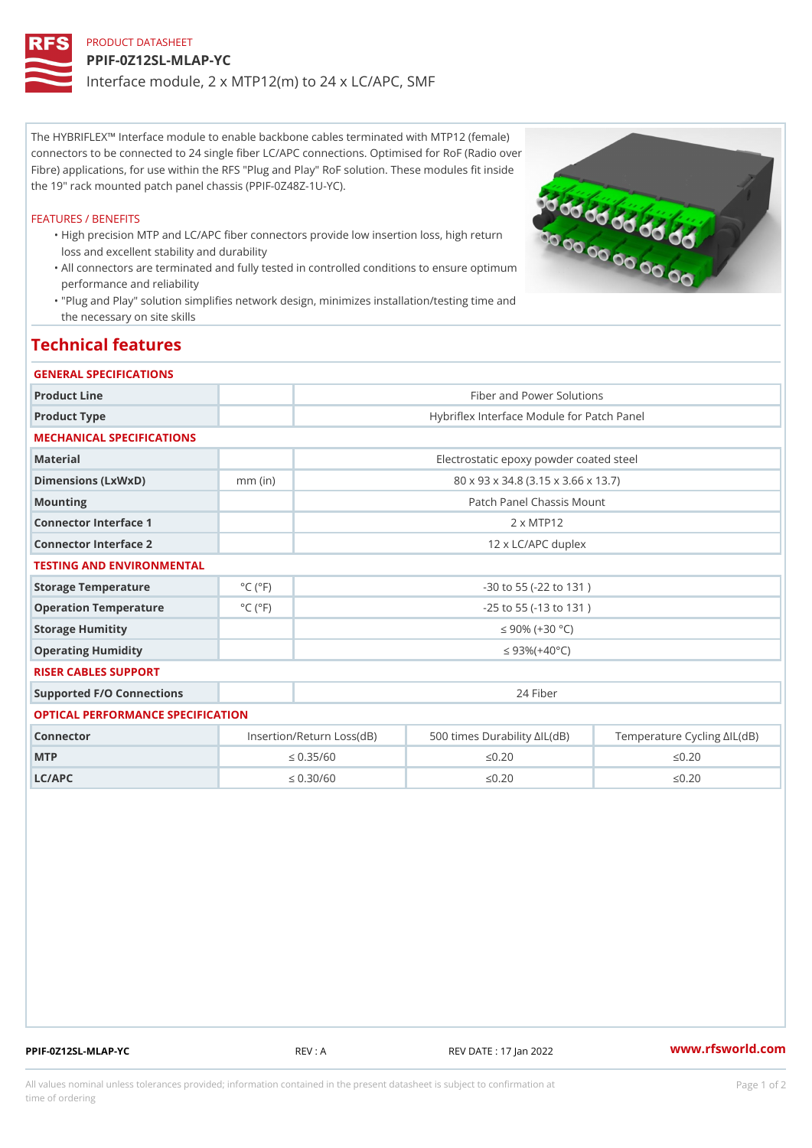## PRODUCT DATASHEET PPIF-0Z12SL-MLAP-YC Interface module, 2 x MTP12(m) to 24 x LC/APC, SMF

The HYBRIFLEX!" Interface module to enable backbone cables terminated with MTP12 (female) connectors to be connected to 24 single fiber LC/APC connections. Optimised for RoF (Radio over Fibre) applications, for use within the RFS "Plug and Play" RoF solution. These modules fit inside the 19" rack mounted patch panel chassis (PPIF-0Z48Z-1U-YC).

## FEATURES / BENEFITS

- "High precision MTP and LC/APC fiber connectors provide low insertion loss, high return loss and excellent stability and durability
- All connectors are terminated and fully tested in controlled conditions to ensure optimum " performance and reliability
- "Plug and Play" solution simplifies network design, minimizes installation/testing time and " the necessary on site skills

## Technical features

| GENERAL SPECIFICATIONS            |                                                                                |                                            |               |               |
|-----------------------------------|--------------------------------------------------------------------------------|--------------------------------------------|---------------|---------------|
| Product Line                      |                                                                                | Fiber and Power Solutions                  |               |               |
| Product Type                      |                                                                                | Hybriflex Interface Module for Patch Panel |               |               |
| MECHANICAL SPECIFICATIONS         |                                                                                |                                            |               |               |
| Material                          |                                                                                | Electrostatic epoxy powder coated steel    |               |               |
| Dimensions (LxWxD)                | $mm$ (in)                                                                      | 80 x 93 x 34.8 (3.15 x 3.66 x 13.7)        |               |               |
| Mounting                          |                                                                                | Patch Panel Chassis Mount                  |               |               |
| Connector Interface 1             |                                                                                | 2 x MTP12                                  |               |               |
| Connector Interface 2             |                                                                                | 12 x LC/APC duplex                         |               |               |
| TESTING AND ENVIRONMENTAL         |                                                                                |                                            |               |               |
| Storage Temperature               | $^{\circ}$ C ( $^{\circ}$ F                                                    | $-30$ to $55$ ( $-22$ to $131$ )           |               |               |
| Operation Temperature             | $^{\circ}$ C ( $^{\circ}$ F                                                    | $-25$ to $55$ ( $-13$ to $131$ )           |               |               |
| Storage Humitity                  |                                                                                | "d 90% $(+30 °C)$                          |               |               |
| Operating Humidity                |                                                                                | "d $93\% (+40 °C)$                         |               |               |
| RISER CABLES SUPPORT              |                                                                                |                                            |               |               |
| Supported F/O Connections         |                                                                                |                                            | 24 Fiber      |               |
| OPTICAL PERFORMANCE SPECIFICATION |                                                                                |                                            |               |               |
| Connector                         | Insertion/Return Loss(dB00 times Durability "IL (TdeBn) perature Cycling  'IL( |                                            |               |               |
| MTP                               | "d $0.35/60$                                                                   |                                            | " $d0.20$     | " $d0.20$     |
| L <sub>C</sub> /A <sub>P</sub>    | "d $0.30/60$                                                                   |                                            | " $d$ 0 . 2 0 | " $d$ 0 . 2 0 |

PPIF-0Z12SL-MLAP-YC REV : A REV DATE : 17 Jan 2022 [www.](https://www.rfsworld.com)rfsworld.com